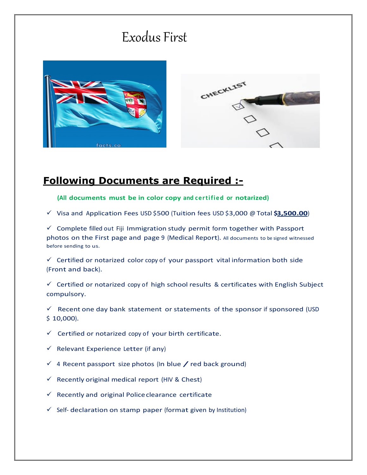## Exodus First





## **Following Documents are Required :-**

**(All documents must be in color copy and certified or notarized)**

Visa and Application FeesUSD \$500 (Tuition fees USD \$3,000 @ Total **\$3,500.00**)

 $\checkmark$  Complete filled out Fiji Immigration study permit form together with Passport photos on the First page and page 9 (Medical Report). All documents to be signed witnessed before sending to us.

 $\checkmark$  Certified or notarized color copy of your passport vital information both side (Front and back).

 $\checkmark$  Certified or notarized copy of high school results & certificates with English Subject compulsory.

 $\checkmark$  Recent one day bank statement or statements of the sponsor if sponsored (USD  $$10,000$ ).

 $\checkmark$  Certified or notarized copy of your birth certificate.

- $\checkmark$  Relevant Experience Letter (if any)
- $\checkmark$  4 Recent passport size photos (In blue  $\checkmark$  red back ground)
- $\checkmark$  Recently original medical report (HIV & Chest)
- $\checkmark$  Recently and original Police clearance certificate
- $\checkmark$  Self- declaration on stamp paper (format given by Institution)